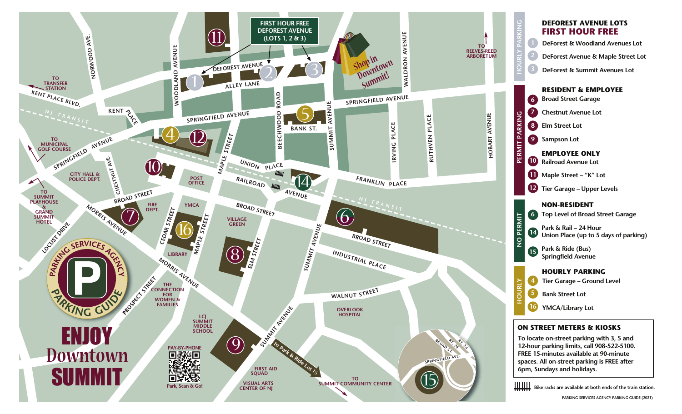